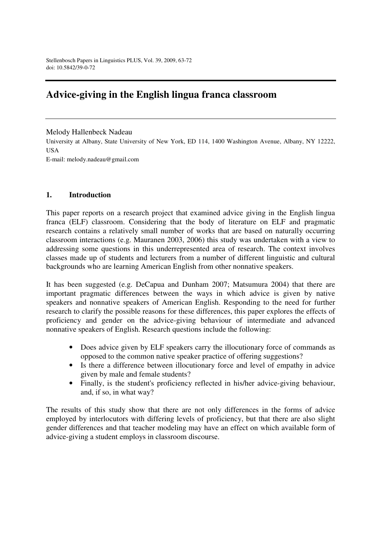# **Advice-giving in the English lingua franca classroom**

#### Melody Hallenbeck Nadeau

University at Albany, State University of New York, ED 114, 1400 Washington Avenue, Albany, NY 12222, USA

E-mail: melody.nadeau@gmail.com

#### **1. Introduction**

This paper reports on a research project that examined advice giving in the English lingua franca (ELF) classroom. Considering that the body of literature on ELF and pragmatic research contains a relatively small number of works that are based on naturally occurring classroom interactions (e.g. Mauranen 2003, 2006) this study was undertaken with a view to addressing some questions in this underrepresented area of research. The context involves classes made up of students and lecturers from a number of different linguistic and cultural backgrounds who are learning American English from other nonnative speakers.

It has been suggested (e.g. DeCapua and Dunham 2007; Matsumura 2004) that there are important pragmatic differences between the ways in which advice is given by native speakers and nonnative speakers of American English. Responding to the need for further research to clarify the possible reasons for these differences, this paper explores the effects of proficiency and gender on the advice-giving behaviour of intermediate and advanced nonnative speakers of English. Research questions include the following:

- Does advice given by ELF speakers carry the illocutionary force of commands as opposed to the common native speaker practice of offering suggestions?
- Is there a difference between illocutionary force and level of empathy in advice given by male and female students?
- Finally, is the student's proficiency reflected in his/her advice-giving behaviour, and, if so, in what way?

The results of this study show that there are not only differences in the forms of advice employed by interlocutors with differing levels of proficiency, but that there are also slight gender differences and that teacher modeling may have an effect on which available form of advice-giving a student employs in classroom discourse.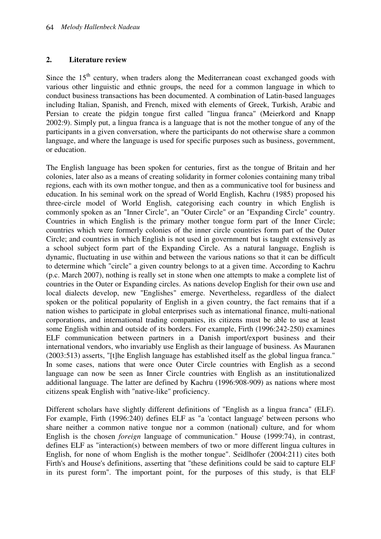# **2. Literature review**

Since the  $15<sup>th</sup>$  century, when traders along the Mediterranean coast exchanged goods with various other linguistic and ethnic groups, the need for a common language in which to conduct business transactions has been documented. A combination of Latin-based languages including Italian, Spanish, and French, mixed with elements of Greek, Turkish, Arabic and Persian to create the pidgin tongue first called "lingua franca" (Meierkord and Knapp 2002:9). Simply put, a lingua franca is a language that is not the mother tongue of any of the participants in a given conversation, where the participants do not otherwise share a common language, and where the language is used for specific purposes such as business, government, or education.

The English language has been spoken for centuries, first as the tongue of Britain and her colonies, later also as a means of creating solidarity in former colonies containing many tribal regions, each with its own mother tongue, and then as a communicative tool for business and education. In his seminal work on the spread of World English, Kachru (1985) proposed his three-circle model of World English, categorising each country in which English is commonly spoken as an "Inner Circle", an "Outer Circle" or an "Expanding Circle" country. Countries in which English is the primary mother tongue form part of the Inner Circle; countries which were formerly colonies of the inner circle countries form part of the Outer Circle; and countries in which English is not used in government but is taught extensively as a school subject form part of the Expanding Circle. As a natural language, English is dynamic, fluctuating in use within and between the various nations so that it can be difficult to determine which "circle" a given country belongs to at a given time. According to Kachru (p.c. March 2007), nothing is really set in stone when one attempts to make a complete list of countries in the Outer or Expanding circles. As nations develop English for their own use and local dialects develop, new "Englishes" emerge. Nevertheless, regardless of the dialect spoken or the political popularity of English in a given country, the fact remains that if a nation wishes to participate in global enterprises such as international finance, multi-national corporations, and international trading companies, its citizens must be able to use at least some English within and outside of its borders. For example, Firth (1996:242-250) examines ELF communication between partners in a Danish import/export business and their international vendors, who invariably use English as their language of business. As Mauranen (2003:513) asserts, "[t]he English language has established itself as the global lingua franca." In some cases, nations that were once Outer Circle countries with English as a second language can now be seen as Inner Circle countries with English as an institutionalized additional language. The latter are defined by Kachru (1996:908-909) as nations where most citizens speak English with "native-like" proficiency.

Different scholars have slightly different definitions of "English as a lingua franca" (ELF). For example, Firth (1996:240) defines ELF as "a 'contact language' between persons who share neither a common native tongue nor a common (national) culture, and for whom English is the chosen *foreign* language of communication." House (1999:74), in contrast, defines ELF as "interaction(s) between members of two or more different lingua cultures in English, for none of whom English is the mother tongue". Seidlhofer (2004:211) cites both Firth's and House's definitions, asserting that "these definitions could be said to capture ELF in its purest form". The important point, for the purposes of this study, is that ELF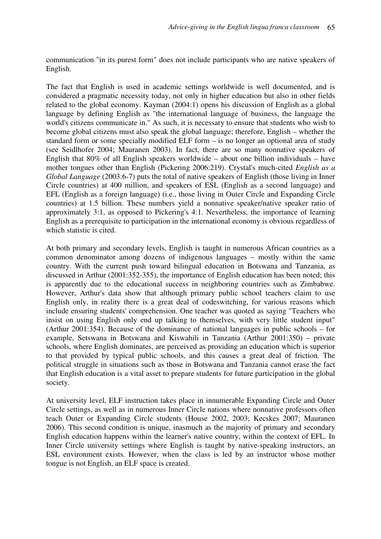communication "in its purest form" does not include participants who are native speakers of English.

The fact that English is used in academic settings worldwide is well documented, and is considered a pragmatic necessity today, not only in higher education but also in other fields related to the global economy. Kayman (2004:1) opens his discussion of English as a global language by defining English as "the international language of business, the language the world's citizens communicate in." As such, it is necessary to ensure that students who wish to become global citizens must also speak the global language; therefore, English – whether the standard form or some specially modified ELF form – is no longer an optional area of study (see Seidlhofer 2004; Mauranen 2003). In fact, there are so many nonnative speakers of English that 80% of all English speakers worldwide – about one billion individuals – have mother tongues other than English (Pickering 2006:219). Crystal's much-cited *English as a Global Language* (2003:6-7) puts the total of native speakers of English (those living in Inner Circle countries) at 400 million, and speakers of ESL (English as a second language) and EFL (English as a foreign language) (i.e., those living in Outer Circle and Expanding Circle countries) at 1.5 billion. These numbers yield a nonnative speaker/native speaker ratio of approximately 3:1, as opposed to Pickering's 4:1. Nevertheless, the importance of learning English as a prerequisite to participation in the international economy is obvious regardless of which statistic is cited.

At both primary and secondary levels, English is taught in numerous African countries as a common denominator among dozens of indigenous languages – mostly within the same country. With the current push toward bilingual education in Botswana and Tanzania, as discussed in Arthur (2001:352-355), the importance of English education has been noted; this is apparently due to the educational success in neighboring countries such as Zimbabwe. However, Arthur's data show that although primary public school teachers claim to use English only, in reality there is a great deal of codeswitching, for various reasons which include ensuring students' comprehension. One teacher was quoted as saying "Teachers who insist on using English only end up talking to themselves, with very little student input" (Arthur 2001:354). Because of the dominance of national languages in public schools – for example, Setswana in Botswana and Kiswahili in Tanzania (Arthur 2001:350) – private schools, where English dominates, are perceived as providing an education which is superior to that provided by typical public schools, and this causes a great deal of friction. The political struggle in situations such as those in Botswana and Tanzania cannot erase the fact that English education is a vital asset to prepare students for future participation in the global society.

At university level, ELF instruction takes place in innumerable Expanding Circle and Outer Circle settings, as well as in numerous Inner Circle nations where nonnative professors often teach Outer or Expanding Circle students (House 2002, 2003; Kecskes 2007; Mauranen 2006). This second condition is unique, inasmuch as the majority of primary and secondary English education happens within the learner's native country, within the context of EFL. In Inner Circle university settings where English is taught by native-speaking instructors, an ESL environment exists. However, when the class is led by an instructor whose mother tongue is not English, an ELF space is created.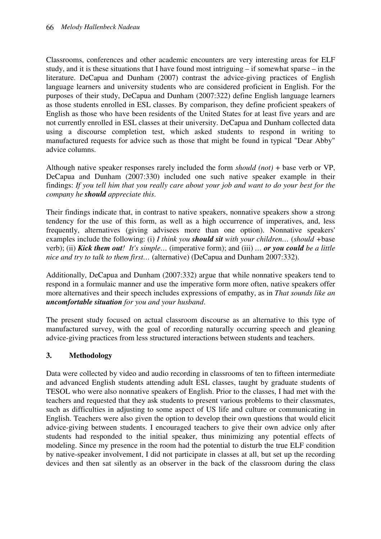Classrooms, conferences and other academic encounters are very interesting areas for ELF study, and it is these situations that I have found most intriguing – if somewhat sparse – in the literature. DeCapua and Dunham (2007) contrast the advice-giving practices of English language learners and university students who are considered proficient in English. For the purposes of their study, DeCapua and Dunham (2007:322) define English language learners as those students enrolled in ESL classes. By comparison, they define proficient speakers of English as those who have been residents of the United States for at least five years and are not currently enrolled in ESL classes at their university. DeCapua and Dunham collected data using a discourse completion test, which asked students to respond in writing to manufactured requests for advice such as those that might be found in typical "Dear Abby" advice columns.

Although native speaker responses rarely included the form *should (not)* + base verb or VP, DeCapua and Dunham (2007:330) included one such native speaker example in their findings: *If you tell him that you really care about your job and want to do your best for the company he should appreciate this*.

Their findings indicate that, in contrast to native speakers, nonnative speakers show a strong tendency for the use of this form, as well as a high occurrence of imperatives, and, less frequently, alternatives (giving advisees more than one option). Nonnative speakers' examples include the following: (i) *I think you should sit with your children…* (*should +*base verb); (ii) *Kick them out! It's simple…* (imperative form); and (iii) *… or you could be a little nice and try to talk to them first…* (alternative) (DeCapua and Dunham 2007:332).

Additionally, DeCapua and Dunham (2007:332) argue that while nonnative speakers tend to respond in a formulaic manner and use the imperative form more often, native speakers offer more alternatives and their speech includes expressions of empathy, as in *That sounds like an uncomfortable situation for you and your husband*.

The present study focused on actual classroom discourse as an alternative to this type of manufactured survey, with the goal of recording naturally occurring speech and gleaning advice-giving practices from less structured interactions between students and teachers.

# **3. Methodology**

Data were collected by video and audio recording in classrooms of ten to fifteen intermediate and advanced English students attending adult ESL classes, taught by graduate students of TESOL who were also nonnative speakers of English. Prior to the classes, I had met with the teachers and requested that they ask students to present various problems to their classmates, such as difficulties in adjusting to some aspect of US life and culture or communicating in English. Teachers were also given the option to develop their own questions that would elicit advice-giving between students. I encouraged teachers to give their own advice only after students had responded to the initial speaker, thus minimizing any potential effects of modeling. Since my presence in the room had the potential to disturb the true ELF condition by native-speaker involvement, I did not participate in classes at all, but set up the recording devices and then sat silently as an observer in the back of the classroom during the class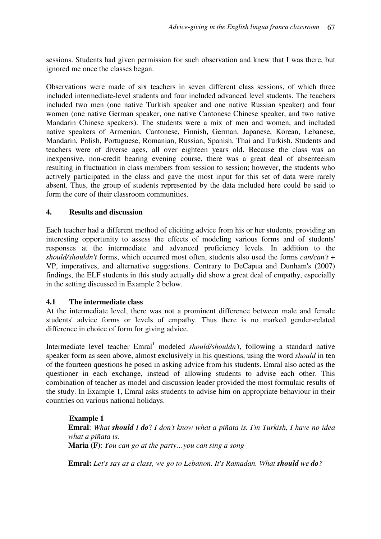sessions. Students had given permission for such observation and knew that I was there, but ignored me once the classes began.

Observations were made of six teachers in seven different class sessions, of which three included intermediate-level students and four included advanced level students. The teachers included two men (one native Turkish speaker and one native Russian speaker) and four women (one native German speaker, one native Cantonese Chinese speaker, and two native Mandarin Chinese speakers). The students were a mix of men and women, and included native speakers of Armenian, Cantonese, Finnish, German, Japanese, Korean, Lebanese, Mandarin, Polish, Portuguese, Romanian, Russian, Spanish, Thai and Turkish. Students and teachers were of diverse ages, all over eighteen years old. Because the class was an inexpensive, non-credit bearing evening course, there was a great deal of absenteeism resulting in fluctuation in class members from session to session; however, the students who actively participated in the class and gave the most input for this set of data were rarely absent. Thus, the group of students represented by the data included here could be said to form the core of their classroom communities.

#### **4. Results and discussion**

Each teacher had a different method of eliciting advice from his or her students, providing an interesting opportunity to assess the effects of modeling various forms and of students' responses at the intermediate and advanced proficiency levels. In addition to the *should/shouldn't* forms, which occurred most often, students also used the forms *can/can't* + VP, imperatives, and alternative suggestions. Contrary to DeCapua and Dunham's (2007) findings, the ELF students in this study actually did show a great deal of empathy, especially in the setting discussed in Example 2 below.

### **4.1 The intermediate class**

At the intermediate level, there was not a prominent difference between male and female students' advice forms or levels of empathy. Thus there is no marked gender-related difference in choice of form for giving advice.

Intermediate level teacher Emral<sup>1</sup> modeled *should/shouldn't*, following a standard native speaker form as seen above, almost exclusively in his questions, using the word *should* in ten of the fourteen questions he posed in asking advice from his students. Emral also acted as the questioner in each exchange, instead of allowing students to advise each other. This combination of teacher as model and discussion leader provided the most formulaic results of the study. In Example 1, Emral asks students to advise him on appropriate behaviour in their countries on various national holidays.

#### **Example 1**

**Emral**: *What should I do*? *I don't know what a piñata is. I'm Turkish, I have no idea what a piñata is.*  **Maria (F)**: *You can go at the party…you can sing a song* 

**Emral:** *Let's say as a class, we go to Lebanon. It's Ramadan. What should we do?*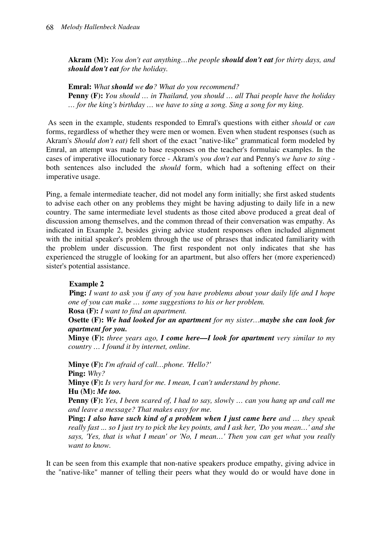**Akram (M):** *You don't eat anything…the people should don't eat for thirty days, and should don't eat for the holiday.* 

**Emral:** *What should we do? What do you recommend?*  **Penny (F):** *You should … in Thailand, you should … all Thai people have the holiday … for the king's birthday … we have to sing a song. Sing a song for my king.* 

 As seen in the example, students responded to Emral's questions with either *should* or *can* forms, regardless of whether they were men or women. Even when student responses (such as Akram's *Should don't eat)* fell short of the exact "native-like" grammatical form modeled by Emral, an attempt was made to base responses on the teacher's formulaic examples. In the cases of imperative illocutionary force - Akram's *you don't eat* and Penny's *we have to sing* both sentences also included the *should* form, which had a softening effect on their imperative usage.

Ping, a female intermediate teacher, did not model any form initially; she first asked students to advise each other on any problems they might be having adjusting to daily life in a new country. The same intermediate level students as those cited above produced a great deal of discussion among themselves, and the common thread of their conversation was empathy. As indicated in Example 2, besides giving advice student responses often included alignment with the initial speaker's problem through the use of phrases that indicated familiarity with the problem under discussion. The first respondent not only indicates that she has experienced the struggle of looking for an apartment, but also offers her (more experienced) sister's potential assistance.

# **Example 2**

 **Ping:** *I want to ask you if any of you have problems about your daily life and I hope one of you can make … some suggestions to his or her problem.* 

**Rosa (F):** *I want to find an apartment.* 

**Osette (F):** *We had looked for an apartment for my sister…maybe she can look for apartment for you.*

**Minye (F):** *three years ago, I come here—I look for apartment very similar to my country … I found it by internet, online.* 

**Minye (F):** *I'm afraid of call…phone. 'Hello?'*  **Ping:** *Why?*  **Minye (F):** *Is very hard for me. I mean, I can't understand by phone.*  **Hu (M):** *Me too.*

**Penny (F):** *Yes, I been scared of, I had to say, slowly … can you hang up and call me and leave a message? That makes easy for me.* 

**Ping:** *I also have such kind of a problem when I just came here and … they speak really fast ... so I just try to pick the key points, and I ask her, 'Do you mean…' and she says, 'Yes, that is what I mean' or 'No, I mean…' Then you can get what you really want to know.* 

It can be seen from this example that non-native speakers produce empathy, giving advice in the "native-like" manner of telling their peers what they would do or would have done in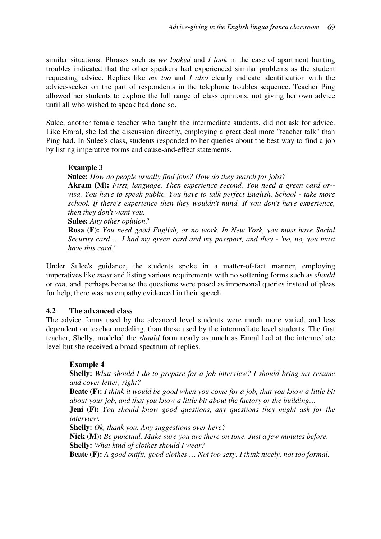similar situations. Phrases such as *we looked* and *I look* in the case of apartment hunting troubles indicated that the other speakers had experienced similar problems as the student requesting advice. Replies like *me too* and *I also* clearly indicate identification with the advice-seeker on the part of respondents in the telephone troubles sequence. Teacher Ping allowed her students to explore the full range of class opinions, not giving her own advice until all who wished to speak had done so.

Sulee, another female teacher who taught the intermediate students, did not ask for advice. Like Emral, she led the discussion directly, employing a great deal more "teacher talk" than Ping had. In Sulee's class, students responded to her queries about the best way to find a job by listing imperative forms and cause-and-effect statements.

#### **Example 3**

**Sulee:** *How do people usually find jobs? How do they search for jobs?* 

**Akram (M):** *First, language. Then experience second. You need a green card or- visa. You have to speak public. You have to talk perfect English. School - take more school. If there's experience then they wouldn't mind. If you don't have experience, then they don't want you.* 

**Sulee:** *Any other opinion?* 

**Rosa (F):** *You need good English, or no work. In New York, you must have Social Security card … I had my green card and my passport, and they - 'no, no, you must have this card.'* 

Under Sulee's guidance, the students spoke in a matter-of-fact manner, employing imperatives like *must* and listing various requirements with no softening forms such as *should* or *can,* and, perhaps because the questions were posed as impersonal queries instead of pleas for help, there was no empathy evidenced in their speech.

#### **4.2 The advanced class**

The advice forms used by the advanced level students were much more varied, and less dependent on teacher modeling, than those used by the intermediate level students. The first teacher, Shelly, modeled the *should* form nearly as much as Emral had at the intermediate level but she received a broad spectrum of replies.

#### **Example 4**

**Shelly:** *What should I do to prepare for a job interview? I should bring my resume and cover letter, right?* 

**Beate (F):** *I think it would be good when you come for a job, that you know a little bit about your job, and that you know a little bit about the factory or the building…* 

**Jeni (F):** *You should know good questions, any questions they might ask for the interview.* 

**Shelly:** *Ok, thank you. Any suggestions over here?* 

**Nick (M):** *Be punctual. Make sure you are there on time. Just a few minutes before.*  **Shelly:** *What kind of clothes should I wear?* 

**Beate (F):** *A good outfit, good clothes … Not too sexy. I think nicely, not too formal.*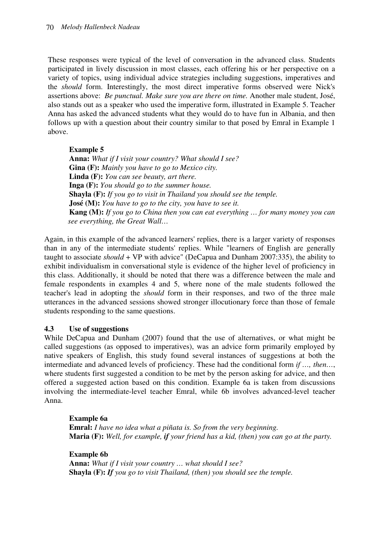These responses were typical of the level of conversation in the advanced class. Students participated in lively discussion in most classes, each offering his or her perspective on a variety of topics, using individual advice strategies including suggestions, imperatives and the *should* form. Interestingly, the most direct imperative forms observed were Nick's assertions above: *Be punctual. Make sure you are there on time.* Another male student, José, also stands out as a speaker who used the imperative form, illustrated in Example 5. Teacher Anna has asked the advanced students what they would do to have fun in Albania, and then follows up with a question about their country similar to that posed by Emral in Example 1 above.

**Example 5 Anna:** *What if I visit your country? What should I see?*   **Gina (F):** *Mainly you have to go to Mexico city.*   **Linda (F):** *You can see beauty, art there.*   **Inga (F):** *You should go to the summer house.*   **Shayla (F):** *If you go to visit in Thailand you should see the temple.*   **José (M):** *You have to go to the city, you have to see it.*   **Kang (M):** *If you go to China then you can eat everything … for many money you can see everything, the Great Wall…* 

Again, in this example of the advanced learners' replies, there is a larger variety of responses than in any of the intermediate students' replies. While "learners of English are generally taught to associate *should* + VP with advice" (DeCapua and Dunham 2007:335), the ability to exhibit individualism in conversational style is evidence of the higher level of proficiency in this class. Additionally, it should be noted that there was a difference between the male and female respondents in examples 4 and 5, where none of the male students followed the teacher's lead in adopting the *should* form in their responses, and two of the three male utterances in the advanced sessions showed stronger illocutionary force than those of female students responding to the same questions.

### **4.3 Use of suggestions**

While DeCapua and Dunham (2007) found that the use of alternatives, or what might be called suggestions (as opposed to imperatives), was an advice form primarily employed by native speakers of English, this study found several instances of suggestions at both the intermediate and advanced levels of proficiency. These had the conditional form *if …, then…*, where students first suggested a condition to be met by the person asking for advice, and then offered a suggested action based on this condition. Example 6a is taken from discussions involving the intermediate-level teacher Emral, while 6b involves advanced-level teacher Anna.

#### **Example 6a**

 **Emral:** *I have no idea what a piñata is. So from the very beginning.*   **Maria (F):** *Well, for example, if your friend has a kid, (then) you can go at the party.* 

 **Example 6b** 

 **Anna:** *What if I visit your country … what should I see?*   **Shayla (F):** *If you go to visit Thailand, (then) you should see the temple.*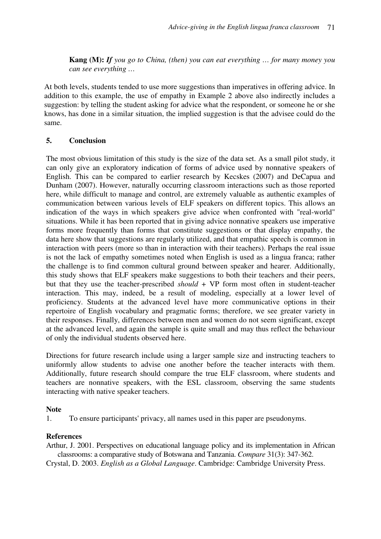**Kang (M):** *If you go to China, (then) you can eat everything … for many money you can see everything …* 

At both levels, students tended to use more suggestions than imperatives in offering advice. In addition to this example, the use of empathy in Example 2 above also indirectly includes a suggestion: by telling the student asking for advice what the respondent, or someone he or she knows, has done in a similar situation, the implied suggestion is that the advisee could do the same.

# **5. Conclusion**

The most obvious limitation of this study is the size of the data set. As a small pilot study, it can only give an exploratory indication of forms of advice used by nonnative speakers of English. This can be compared to earlier research by Kecskes (2007) and DeCapua and Dunham (2007). However, naturally occurring classroom interactions such as those reported here, while difficult to manage and control, are extremely valuable as authentic examples of communication between various levels of ELF speakers on different topics. This allows an indication of the ways in which speakers give advice when confronted with "real-world" situations. While it has been reported that in giving advice nonnative speakers use imperative forms more frequently than forms that constitute suggestions or that display empathy, the data here show that suggestions are regularly utilized, and that empathic speech is common in interaction with peers (more so than in interaction with their teachers). Perhaps the real issue is not the lack of empathy sometimes noted when English is used as a lingua franca; rather the challenge is to find common cultural ground between speaker and hearer. Additionally, this study shows that ELF speakers make suggestions to both their teachers and their peers, but that they use the teacher-prescribed *should* + VP form most often in student-teacher interaction. This may, indeed, be a result of modeling, especially at a lower level of proficiency. Students at the advanced level have more communicative options in their repertoire of English vocabulary and pragmatic forms; therefore, we see greater variety in their responses. Finally, differences between men and women do not seem significant, except at the advanced level, and again the sample is quite small and may thus reflect the behaviour of only the individual students observed here.

Directions for future research include using a larger sample size and instructing teachers to uniformly allow students to advise one another before the teacher interacts with them. Additionally, future research should compare the true ELF classroom, where students and teachers are nonnative speakers, with the ESL classroom, observing the same students interacting with native speaker teachers.

### **Note**

1. To ensure participants' privacy, all names used in this paper are pseudonyms.

# **References**

Arthur, J. 2001. Perspectives on educational language policy and its implementation in African classrooms: a comparative study of Botswana and Tanzania. *Compare* 31(3): 347-362.

Crystal, D. 2003. *English as a Global Language*. Cambridge: Cambridge University Press.